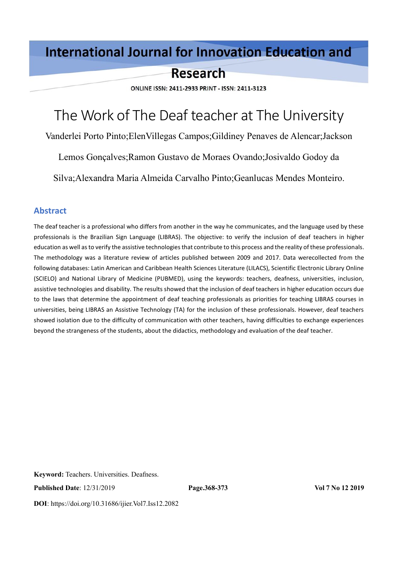# **International Journal for Innovation Education and**

# **Research**

ONLINE ISSN: 2411-2933 PRINT - ISSN: 2411-3123

# The Work of The Deaf teacher at The University

Vanderlei Porto Pinto;ElenVillegas Campos;Gildiney Penaves de Alencar;Jackson

Lemos Gonçalves;Ramon Gustavo de Moraes Ovando;Josivaldo Godoy da

Silva;Alexandra Maria Almeida Carvalho Pinto;Geanlucas Mendes Monteiro.

#### **Abstract**

The deaf teacher is a professional who differs from another in the way he communicates, and the language used by these professionals is the Brazilian Sign Language (LIBRAS). The objective: to verify the inclusion of deaf teachers in higher education as well as to verify the assistive technologies that contribute to this process and the reality of these professionals. The methodology was a literature review of articles published between 2009 and 2017. Data werecollected from the following databases: Latin American and Caribbean Health Sciences Literature (LILACS), Scientific Electronic Library Online (SCIELO) and National Library of Medicine (PUBMED), using the keywords: teachers, deafness, universities, inclusion, assistive technologies and disability. The results showed that the inclusion of deaf teachers in higher education occurs due to the laws that determine the appointment of deaf teaching professionals as priorities for teaching LIBRAS courses in universities, being LIBRAS an Assistive Technology (TA) for the inclusion of these professionals. However, deaf teachers showed isolation due to the difficulty of communication with other teachers, having difficulties to exchange experiences beyond the strangeness of the students, about the didactics, methodology and evaluation of the deaf teacher.

**Keyword:** Teachers. Universities. Deafness.

**Published Date**: 12/31/2019 **Page.368-373 Vol 7 No 12 2019**

**DOI**: https://doi.org/10.31686/ijier.Vol7.Iss12.2082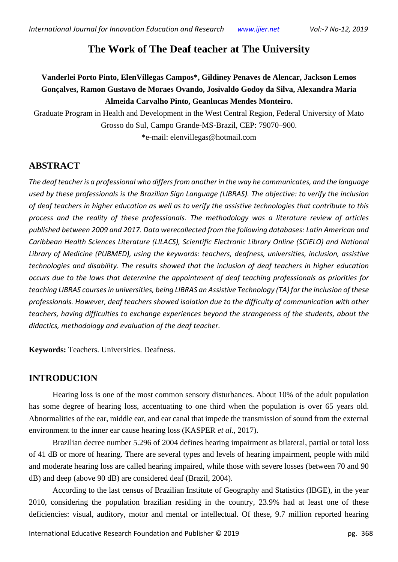# **The Work of The Deaf teacher at The University**

# **Vanderlei Porto Pinto, ElenVillegas Campos\*, Gildiney Penaves de Alencar, Jackson Lemos Gonçalves, Ramon Gustavo de Moraes Ovando, Josivaldo Godoy da Silva, Alexandra Maria Almeida Carvalho Pinto, Geanlucas Mendes Monteiro.**

Graduate Program in Health and Development in the West Central Region, Federal University of Mato Grosso do Sul, Campo Grande-MS-Brazil, CEP: 79070–900.

\*e-mail: [elenvillegas@hotmail.com](mailto:elenvillegas@hotmail.com)

## **ABSTRACT**

*The deaf teacher is a professional who differs from another in the way he communicates, and the language used by these professionals is the Brazilian Sign Language (LIBRAS). The objective: to verify the inclusion of deaf teachers in higher education as well as to verify the assistive technologies that contribute to this process and the reality of these professionals. The methodology was a literature review of articles published between 2009 and 2017. Data werecollected from the following databases: Latin American and Caribbean Health Sciences Literature (LILACS), Scientific Electronic Library Online (SCIELO) and National Library of Medicine (PUBMED), using the keywords: teachers, deafness, universities, inclusion, assistive technologies and disability. The results showed that the inclusion of deaf teachers in higher education occurs due to the laws that determine the appointment of deaf teaching professionals as priorities for teaching LIBRAS courses in universities, being LIBRAS an Assistive Technology (TA) for the inclusion of these professionals. However, deaf teachers showed isolation due to the difficulty of communication with other teachers, having difficulties to exchange experiences beyond the strangeness of the students, about the didactics, methodology and evaluation of the deaf teacher.*

**Keywords:** Teachers. Universities. Deafness.

# **INTRODUCION**

Hearing loss is one of the most common sensory disturbances. About 10% of the adult population has some degree of hearing loss, accentuating to one third when the population is over 65 years old. Abnormalities of the ear, middle ear, and ear canal that impede the transmission of sound from the external environment to the inner ear cause hearing loss (KASPER *et al*., 2017).

Brazilian decree number 5.296 of 2004 defines hearing impairment as bilateral, partial or total loss of 41 dB or more of hearing. There are several types and levels of hearing impairment, people with mild and moderate hearing loss are called hearing impaired, while those with severe losses (between 70 and 90 dB) and deep (above 90 dB) are considered deaf (Brazil, 2004).

According to the last census of Brazilian Institute of Geography and Statistics (IBGE), in the year 2010, considering the population brazilian residing in the country, 23.9% had at least one of these deficiencies: visual, auditory, motor and mental or intellectual. Of these, 9.7 million reported hearing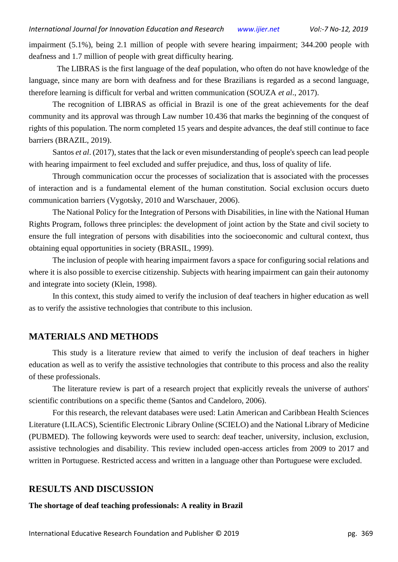impairment (5.1%), being 2.1 million of people with severe hearing impairment; 344.200 people with deafness and 1.7 million of people with great difficulty hearing.

The LIBRAS is the first language of the deaf population, who often do not have knowledge of the language, since many are born with deafness and for these Brazilians is regarded as a second language, therefore learning is difficult for verbal and written communication (SOUZA *et al*., 2017).

The recognition of LIBRAS as official in Brazil is one of the great achievements for the deaf community and its approval was through Law number 10.436 that marks the beginning of the conquest of rights of this population. The norm completed 15 years and despite advances, the deaf still continue to face barriers (BRAZIL, 2019).

Santos *et al*. (2017), states that the lack or even misunderstanding of people's speech can lead people with hearing impairment to feel excluded and suffer prejudice, and thus, loss of quality of life.

Through communication occur the processes of socialization that is associated with the processes of interaction and is a fundamental element of the human constitution. Social exclusion occurs dueto communication barriers (Vygotsky, 2010 and Warschauer, 2006).

The National Policy for the Integration of Persons with Disabilities, in line with the National Human Rights Program, follows three principles: the development of joint action by the State and civil society to ensure the full integration of persons with disabilities into the socioeconomic and cultural context, thus obtaining equal opportunities in society (BRASIL, 1999).

The inclusion of people with hearing impairment favors a space for configuring social relations and where it is also possible to exercise citizenship. Subjects with hearing impairment can gain their autonomy and integrate into society (Klein, 1998).

In this context, this study aimed to verify the inclusion of deaf teachers in higher education as well as to verify the assistive technologies that contribute to this inclusion.

#### **MATERIALS AND METHODS**

This study is a literature review that aimed to verify the inclusion of deaf teachers in higher education as well as to verify the assistive technologies that contribute to this process and also the reality of these professionals.

The literature review is part of a research project that explicitly reveals the universe of authors' scientific contributions on a specific theme (Santos and Candeloro, 2006).

For this research, the relevant databases were used: Latin American and Caribbean Health Sciences Literature (LILACS), Scientific Electronic Library Online (SCIELO) and the National Library of Medicine (PUBMED). The following keywords were used to search: deaf teacher, university, inclusion, exclusion, assistive technologies and disability. This review included open-access articles from 2009 to 2017 and written in Portuguese. Restricted access and written in a language other than Portuguese were excluded.

#### **RESULTS AND DISCUSSION**

**The shortage of deaf teaching professionals: A reality in Brazil**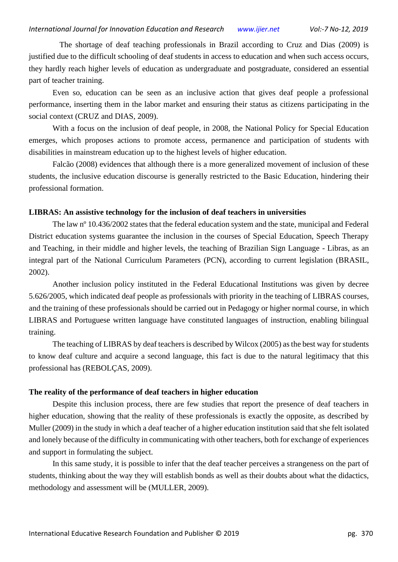The shortage of deaf teaching professionals in Brazil according to Cruz and Dias (2009) is justified due to the difficult schooling of deaf students in access to education and when such access occurs, they hardly reach higher levels of education as undergraduate and postgraduate, considered an essential part of teacher training.

Even so, education can be seen as an inclusive action that gives deaf people a professional performance, inserting them in the labor market and ensuring their status as citizens participating in the social context (CRUZ and DIAS, 2009).

With a focus on the inclusion of deaf people, in 2008, the National Policy for Special Education emerges, which proposes actions to promote access, permanence and participation of students with disabilities in mainstream education up to the highest levels of higher education.

Falcão (2008) evidences that although there is a more generalized movement of inclusion of these students, the inclusive education discourse is generally restricted to the Basic Education, hindering their professional formation.

#### **LIBRAS: An assistive technology for the inclusion of deaf teachers in universities**

The law nº 10.436/2002 states that the federal education system and the state, municipal and Federal District education systems guarantee the inclusion in the courses of Special Education, Speech Therapy and Teaching, in their middle and higher levels, the teaching of Brazilian Sign Language - Libras, as an integral part of the National Curriculum Parameters (PCN), according to current legislation (BRASIL, 2002).

Another inclusion policy instituted in the Federal Educational Institutions was given by decree 5.626/2005, which indicated deaf people as professionals with priority in the teaching of LIBRAS courses, and the training of these professionals should be carried out in Pedagogy or higher normal course, in which LIBRAS and Portuguese written language have constituted languages of instruction, enabling bilingual training.

The teaching of LIBRAS by deaf teachers is described by Wilcox (2005) as the best way for students to know deaf culture and acquire a second language, this fact is due to the natural legitimacy that this professional has (REBOLÇAS, 2009).

#### **The reality of the performance of deaf teachers in higher education**

Despite this inclusion process, there are few studies that report the presence of deaf teachers in higher education, showing that the reality of these professionals is exactly the opposite, as described by Muller (2009) in the study in which a deaf teacher of a higher education institution said that she felt isolated and lonely because of the difficulty in communicating with other teachers, both for exchange of experiences and support in formulating the subject.

In this same study, it is possible to infer that the deaf teacher perceives a strangeness on the part of students, thinking about the way they will establish bonds as well as their doubts about what the didactics, methodology and assessment will be (MULLER, 2009).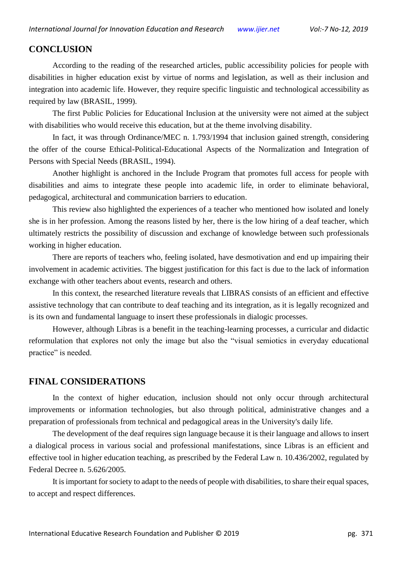#### **CONCLUSION**

According to the reading of the researched articles, public accessibility policies for people with disabilities in higher education exist by virtue of norms and legislation, as well as their inclusion and integration into academic life. However, they require specific linguistic and technological accessibility as required by law (BRASIL, 1999).

The first Public Policies for Educational Inclusion at the university were not aimed at the subject with disabilities who would receive this education, but at the theme involving disability.

In fact, it was through Ordinance/MEC n. 1.793/1994 that inclusion gained strength, considering the offer of the course Ethical-Political-Educational Aspects of the Normalization and Integration of Persons with Special Needs (BRASIL, 1994).

Another highlight is anchored in the Include Program that promotes full access for people with disabilities and aims to integrate these people into academic life, in order to eliminate behavioral, pedagogical, architectural and communication barriers to education.

This review also highlighted the experiences of a teacher who mentioned how isolated and lonely she is in her profession. Among the reasons listed by her, there is the low hiring of a deaf teacher, which ultimately restricts the possibility of discussion and exchange of knowledge between such professionals working in higher education.

There are reports of teachers who, feeling isolated, have desmotivation and end up impairing their involvement in academic activities. The biggest justification for this fact is due to the lack of information exchange with other teachers about events, research and others.

In this context, the researched literature reveals that LIBRAS consists of an efficient and effective assistive technology that can contribute to deaf teaching and its integration, as it is legally recognized and is its own and fundamental language to insert these professionals in dialogic processes.

However, although Libras is a benefit in the teaching-learning processes, a curricular and didactic reformulation that explores not only the image but also the "visual semiotics in everyday educational practice" is needed.

#### **FINAL CONSIDERATIONS**

In the context of higher education, inclusion should not only occur through architectural improvements or information technologies, but also through political, administrative changes and a preparation of professionals from technical and pedagogical areas in the University's daily life.

The development of the deaf requires sign language because it is their language and allows to insert a dialogical process in various social and professional manifestations, since Libras is an efficient and effective tool in higher education teaching, as prescribed by the Federal Law n. 10.436/2002, regulated by Federal Decree n. 5.626/2005.

It is important for society to adapt to the needs of people with disabilities, to share their equal spaces, to accept and respect differences.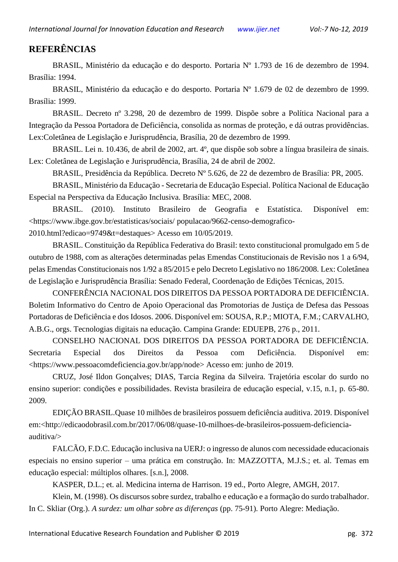### **REFERÊNCIAS**

BRASIL, Ministério da educação e do desporto. Portaria Nº 1.793 de 16 de dezembro de 1994. Brasília: 1994.

BRASIL, Ministério da educação e do desporto. Portaria Nº 1.679 de 02 de dezembro de 1999. Brasília: 1999.

BRASIL. Decreto nº 3.298, 20 de dezembro de 1999. Dispõe sobre a Política Nacional para a Integração da Pessoa Portadora de Deficiência, consolida as normas de proteção, e dá outras providências. Lex:Coletânea de Legislação e Jurisprudência, Brasília, 20 de dezembro de 1999.

BRASIL. Lei n. 10.436, de abril de 2002, art. 4º, que dispõe sob sobre a língua brasileira de sinais. Lex: Coletânea de Legislação e Jurisprudência, Brasília, 24 de abril de 2002.

BRASIL, Presidência da República. Decreto Nº 5.626, de 22 de dezembro de Brasília: PR, 2005.

BRASIL, Ministério da Educação - Secretaria de Educação Especial. Política Nacional de Educação Especial na Perspectiva da Educação Inclusiva. Brasília: MEC, 2008.

BRASIL. (2010). Instituto Brasileiro de Geografia e Estatística. Disponível em: <https://www.ibge.gov.br/estatisticas/sociais/ populacao/9662-censo-demografico-

2010.html?edicao=9749&t=destaques> Acesso em 10/05/2019.

BRASIL. Constituição da República Federativa do Brasil: texto constitucional promulgado em 5 de outubro de 1988, com as alterações determinadas pelas Emendas Constitucionais de Revisão nos 1 a 6/94, pelas Emendas Constitucionais nos 1/92 a 85/2015 e pelo Decreto Legislativo no 186/2008. Lex: Coletânea de Legislação e Jurisprudência Brasília: Senado Federal, Coordenação de Edições Técnicas, 2015.

CONFERÊNCIA NACIONAL DOS DIREITOS DA PESSOA PORTADORA DE DEFICIÊNCIA. Boletim Informativo do Centro de Apoio Operacional das Promotorias de Justiça de Defesa das Pessoas Portadoras de Deficiência e dos Idosos. 2006. Disponível em: SOUSA, R.P.; MIOTA, F.M.; CARVALHO, A.B.G., orgs. Tecnologias digitais na educação. Campina Grande: EDUEPB, 276 p., 2011.

CONSELHO NACIONAL DOS DIREITOS DA PESSOA PORTADORA DE DEFICIÊNCIA. Secretaria Especial dos Direitos da Pessoa com Deficiência. Disponível em: [<https://www.pessoacomdeficiencia.gov.br/app/node>](https://www.pessoacomdeficiencia.gov.br/app/node) Acesso em: junho de 2019.

CRUZ, José Ildon Gonçalves; DIAS, Tarcia Regina da Silveira. Trajetória escolar do surdo no ensino superior: condições e possibilidades. Revista brasileira de educação especial, v.15, n.1, p. 65-80. 2009.

EDIÇÃO BRASIL[.Quase 10 milhões de brasileiros possuem deficiência auditiva.](http://edicaodobrasil.com.br/2017/06/08/quase-10-milhoes-de-brasileiros-possuem-deficiencia-auditiva/) 2019. Disponível em:[<http://edicaodobrasil.com.br/2017/06/08/quase-10-milhoes-de-brasileiros-possuem-deficiencia](http://edicaodobrasil.com.br/2017/06/08/quase-10-milhoes-de-brasileiros-possuem-deficiencia-auditiva/)[auditiva/>](http://edicaodobrasil.com.br/2017/06/08/quase-10-milhoes-de-brasileiros-possuem-deficiencia-auditiva/)

FALCÃO, F.D.C. Educação inclusiva na UERJ: o ingresso de alunos com necessidade educacionais especiais no ensino superior – uma prática em construção. In: MAZZOTTA, M.J.S.; et. al. Temas em educação especial: múltiplos olhares. [s.n.], 2008.

KASPER, D.L.; et. al. Medicina interna de Harrison. 19 ed., Porto Alegre, AMGH, 2017.

Klein, M. (1998). Os discursos sobre surdez, trabalho e educação e a formação do surdo trabalhador. In C. Skliar (Org.). *A surdez: um olhar sobre as diferenças* (pp. 75-91)*.* Porto Alegre: Mediação.